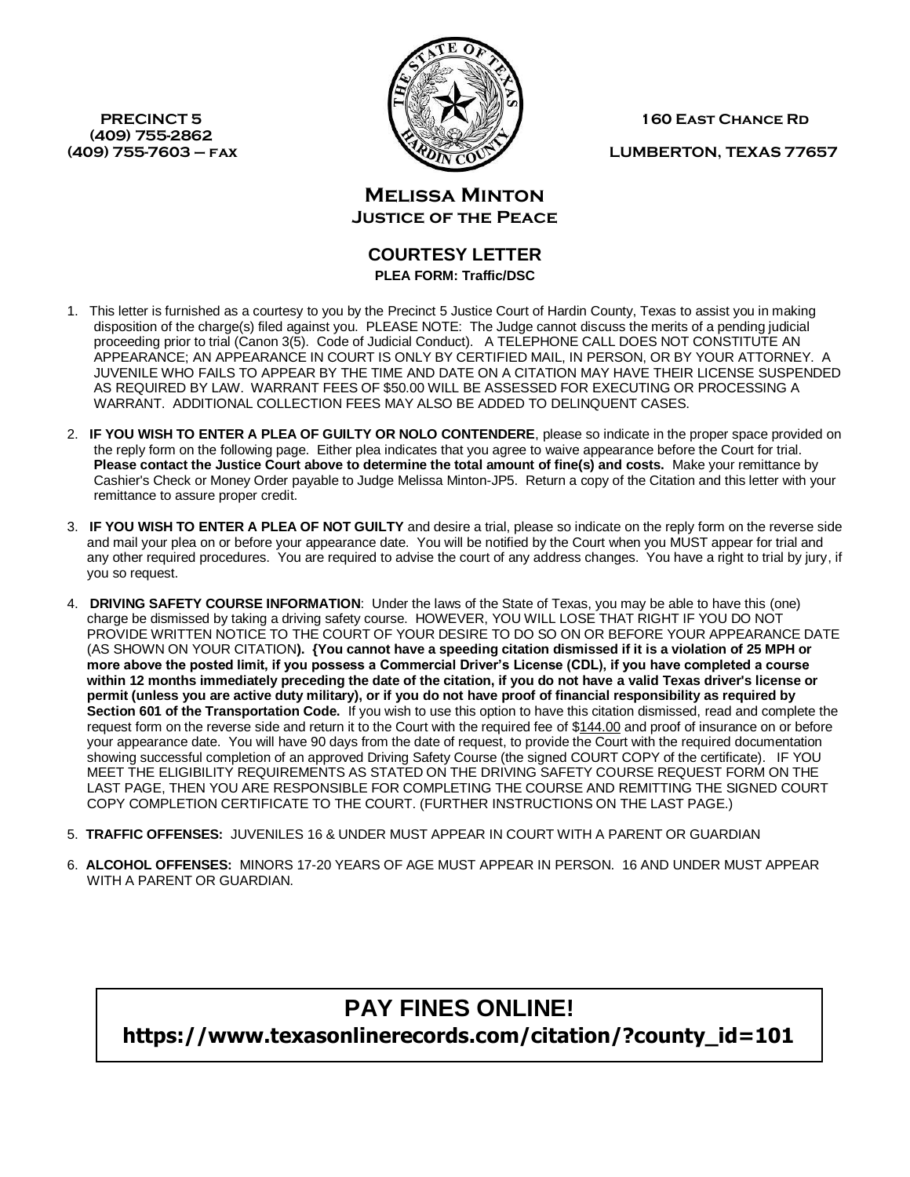**(409) 755-2862** 



**PRECINCT 5 160 East CHANCE RD** 

**(409) 755-7603 – fax LUMBERTON, TEXAS 77657**

**Melissa Minton Justice of the Peace**

## **COURTESY LETTER PLEA FORM: Traffic/DSC**

- 1. This letter is furnished as a courtesy to you by the Precinct 5 Justice Court of Hardin County, Texas to assist you in making disposition of the charge(s) filed against you. PLEASE NOTE: The Judge cannot discuss the merits of a pending judicial proceeding prior to trial (Canon 3(5). Code of Judicial Conduct). A TELEPHONE CALL DOES NOT CONSTITUTE AN APPEARANCE; AN APPEARANCE IN COURT IS ONLY BY CERTIFIED MAIL, IN PERSON, OR BY YOUR ATTORNEY. A JUVENILE WHO FAILS TO APPEAR BY THE TIME AND DATE ON A CITATION MAY HAVE THEIR LICENSE SUSPENDED AS REQUIRED BY LAW. WARRANT FEES OF \$50.00 WILL BE ASSESSED FOR EXECUTING OR PROCESSING A WARRANT. ADDITIONAL COLLECTION FEES MAY ALSO BE ADDED TO DELINQUENT CASES.
- 2. **IF YOU WISH TO ENTER A PLEA OF GUILTY OR NOLO CONTENDERE**, please so indicate in the proper space provided on the reply form on the following page. Either plea indicates that you agree to waive appearance before the Court for trial. **Please contact the Justice Court above to determine the total amount of fine(s) and costs.** Make your remittance by Cashier's Check or Money Order payable to Judge Melissa Minton-JP5. Return a copy of the Citation and this letter with your remittance to assure proper credit.
- 3. **IF YOU WISH TO ENTER A PLEA OF NOT GUILTY** and desire a trial, please so indicate on the reply form on the reverse side and mail your plea on or before your appearance date. You will be notified by the Court when you MUST appear for trial and any other required procedures. You are required to advise the court of any address changes. You have a right to trial by jury, if you so request.
- 4. **DRIVING SAFETY COURSE INFORMATION**: Under the laws of the State of Texas, you may be able to have this (one) charge be dismissed by taking a driving safety course. HOWEVER, YOU WILL LOSE THAT RIGHT IF YOU DO NOT PROVIDE WRITTEN NOTICE TO THE COURT OF YOUR DESIRE TO DO SO ON OR BEFORE YOUR APPEARANCE DATE (AS SHOWN ON YOUR CITATION**). {You cannot have a speeding citation dismissed if it is a violation of 25 MPH or more above the posted limit, if you possess a Commercial Driver's License (CDL), if you have completed a course within 12 months immediately preceding the date of the citation, if you do not have a valid Texas driver's license or permit (unless you are active duty military), or if you do not have proof of financial responsibility as required by Section 601 of the Transportation Code.** If you wish to use this option to have this citation dismissed, read and complete the request form on the reverse side and return it to the Court with the required fee of \$144.00 and proof of insurance on or before your appearance date. You will have 90 days from the date of request, to provide the Court with the required documentation showing successful completion of an approved Driving Safety Course (the signed COURT COPY of the certificate). IF YOU MEET THE ELIGIBILITY REQUIREMENTS AS STATED ON THE DRIVING SAFETY COURSE REQUEST FORM ON THE LAST PAGE, THEN YOU ARE RESPONSIBLE FOR COMPLETING THE COURSE AND REMITTING THE SIGNED COURT COPY COMPLETION CERTIFICATE TO THE COURT. (FURTHER INSTRUCTIONS ON THE LAST PAGE.)
- 5. **TRAFFIC OFFENSES:** JUVENILES 16 & UNDER MUST APPEAR IN COURT WITH A PARENT OR GUARDIAN
- 6. **ALCOHOL OFFENSES:** MINORS 17-20 YEARS OF AGE MUST APPEAR IN PERSON. 16 AND UNDER MUST APPEAR WITH A PARENT OR GUARDIAN.

# **PAY FINES ONLINE! https://www.texasonlinerecords.com/citation/?county\_id=101**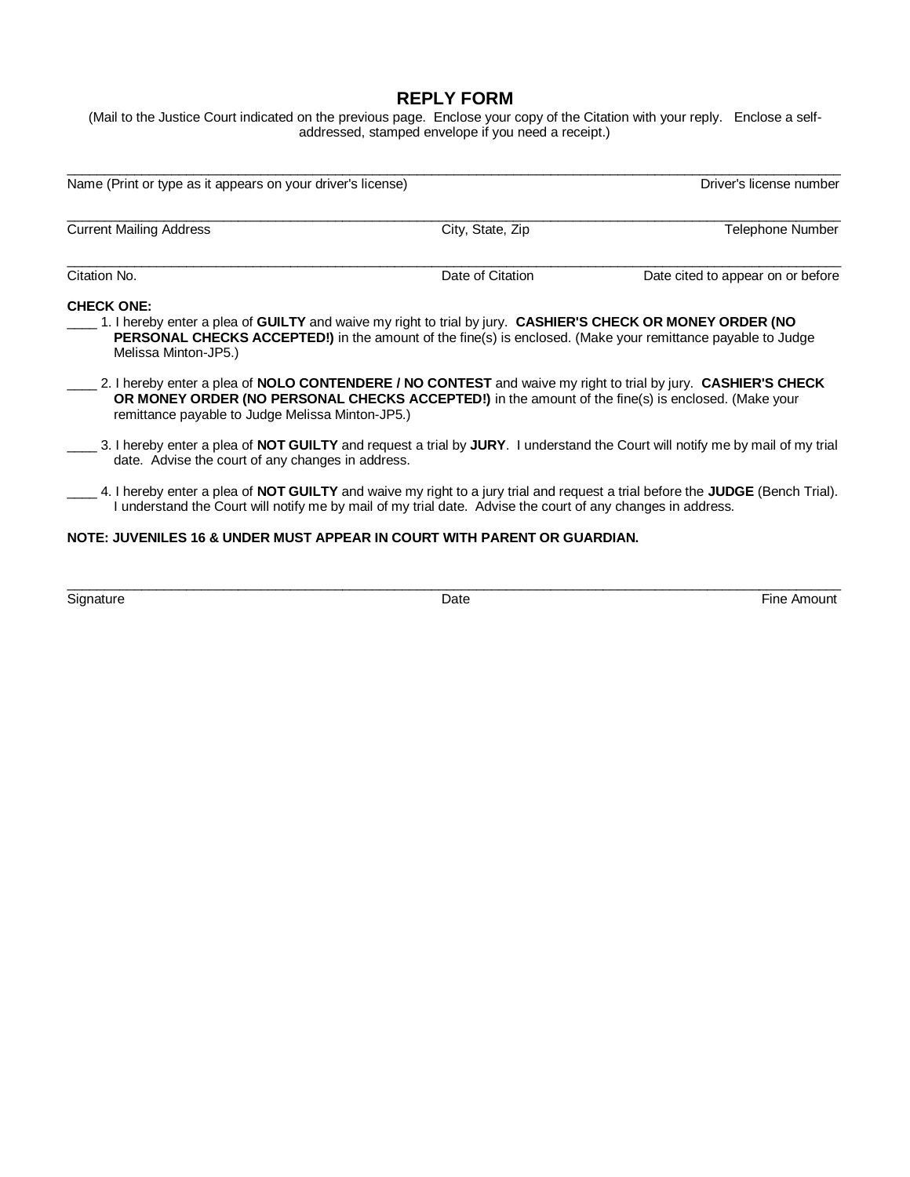# **REPLY FORM**

(Mail to the Justice Court indicated on the previous page. Enclose your copy of the Citation with your reply. Enclose a selfaddressed, stamped envelope if you need a receipt.)

\_\_\_\_\_\_\_\_\_\_\_\_\_\_\_\_\_\_\_\_\_\_\_\_\_\_\_\_\_\_\_\_\_\_\_\_\_\_\_\_\_\_\_\_\_\_\_\_\_\_\_\_\_\_\_\_\_\_\_\_\_\_\_\_\_\_\_\_\_\_\_\_\_\_\_\_\_\_\_\_\_\_\_\_\_\_\_\_\_\_\_\_\_\_\_\_\_\_\_\_\_\_\_\_

| Telephone Number                                                                                                                                                                                                                                                                                                                                                                                                                                                                                                                                                                                                                                                                                                                                                                                                                                                                                                                                                                        |  |  |  |  |
|-----------------------------------------------------------------------------------------------------------------------------------------------------------------------------------------------------------------------------------------------------------------------------------------------------------------------------------------------------------------------------------------------------------------------------------------------------------------------------------------------------------------------------------------------------------------------------------------------------------------------------------------------------------------------------------------------------------------------------------------------------------------------------------------------------------------------------------------------------------------------------------------------------------------------------------------------------------------------------------------|--|--|--|--|
| Date cited to appear on or before                                                                                                                                                                                                                                                                                                                                                                                                                                                                                                                                                                                                                                                                                                                                                                                                                                                                                                                                                       |  |  |  |  |
| <b>CHECK ONE:</b><br>1. I hereby enter a plea of GUILTY and waive my right to trial by jury. CASHIER'S CHECK OR MONEY ORDER (NO<br>PERSONAL CHECKS ACCEPTED!) in the amount of the fine(s) is enclosed. (Make your remittance payable to Judge<br>Melissa Minton-JP5.)<br>2. I hereby enter a plea of NOLO CONTENDERE / NO CONTEST and waive my right to trial by jury. CASHIER'S CHECK<br>OR MONEY ORDER (NO PERSONAL CHECKS ACCEPTED!) in the amount of the fine(s) is enclosed. (Make your<br>remittance payable to Judge Melissa Minton-JP5.)<br>3. I hereby enter a plea of NOT GUILTY and request a trial by JURY. I understand the Court will notify me by mail of my trial<br>date. Advise the court of any changes in address.<br>4. I hereby enter a plea of NOT GUILTY and waive my right to a jury trial and request a trial before the JUDGE (Bench Trial).<br>I understand the Court will notify me by mail of my trial date. Advise the court of any changes in address. |  |  |  |  |
|                                                                                                                                                                                                                                                                                                                                                                                                                                                                                                                                                                                                                                                                                                                                                                                                                                                                                                                                                                                         |  |  |  |  |
|                                                                                                                                                                                                                                                                                                                                                                                                                                                                                                                                                                                                                                                                                                                                                                                                                                                                                                                                                                                         |  |  |  |  |

\_\_\_\_\_\_\_\_\_\_\_\_\_\_\_\_\_\_\_\_\_\_\_\_\_\_\_\_\_\_\_\_\_\_\_\_\_\_\_\_\_\_\_\_\_\_\_\_\_\_\_\_\_\_\_\_\_\_\_\_\_\_\_\_\_\_\_\_\_\_\_\_\_\_\_\_\_\_\_\_\_\_\_\_\_\_\_\_\_\_\_\_\_\_\_\_\_\_\_\_\_\_\_\_

Signature **Example 2** and the Signature of the Amount of Date **Contract Contract Contract Contract Contract Contract Contract Contract Contract Contract Contract Contract Contract Contract Contract Contract Contract Contra**